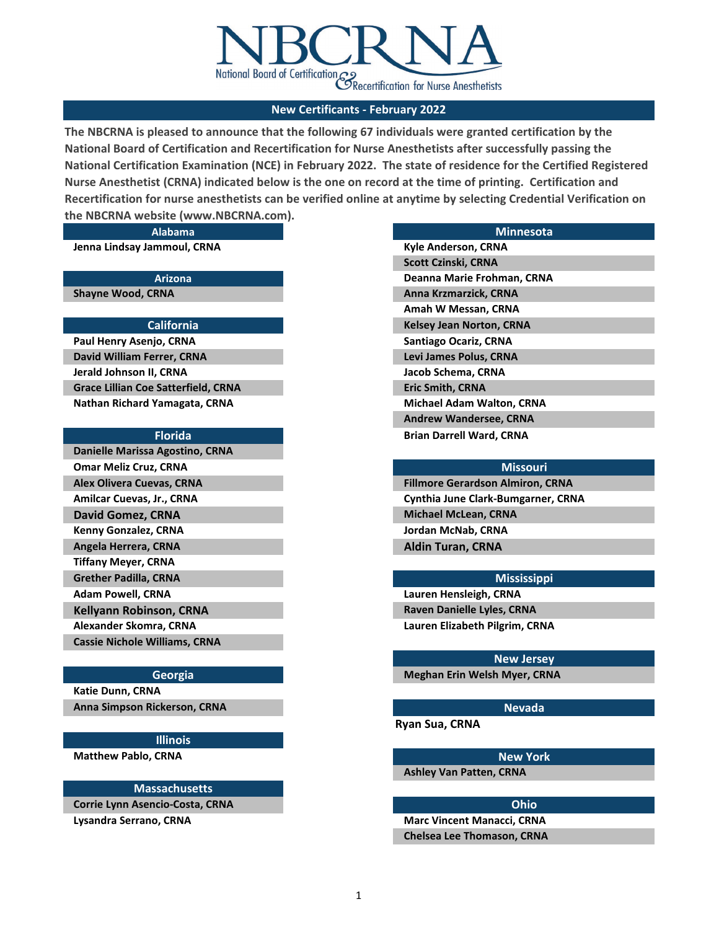

# **New Certificants - February 2022**

**The NBCRNA is pleased to announce that the following 67 individuals were granted certification by the National Board of Certification and Recertification for Nurse Anesthetists after successfully passing the National Certification Examination (NCE) in February 2022. The state of residence for the Certified Registered Nurse Anesthetist (CRNA) indicated below is the one on record at the time of printing. Certification and Recertification for nurse anesthetists can be verified online at anytime by selecting Credential Verification on the NBCRNA website (www.NBCRNA.com).** 

**Jenna Lindsay Jammoul, CRNA Kyle Anderson, CRNA** 

**Nathan Richard Yamagata, CRNA Michael Adam Walton, CRNA David William Ferrer, CRNA Levi James Polus, CRNA Jerald Johnson II, CRNA Jacob Schema, CRNA Grace Lillian Coe Satterfield, CRNA Eric Smith, CRNA Paul Henry Asenjo, CRNA Santiago Ocariz, CRNA**

| Danielle Marissa Agostino, CRNA      |
|--------------------------------------|
| <b>Omar Meliz Cruz, CRNA</b>         |
| <b>Alex Olivera Cuevas, CRNA</b>     |
| Amilcar Cuevas, Jr., CRNA            |
| <b>David Gomez, CRNA</b>             |
| Kenny Gonzalez, CRNA                 |
| Angela Herrera, CRNA                 |
| <b>Tiffany Meyer, CRNA</b>           |
| <b>Grether Padilla, CRNA</b>         |
| <b>Adam Powell, CRNA</b>             |
| <b>Kellyann Robinson, CRNA</b>       |
| Alexander Skomra, CRNA               |
| <b>Cassie Nichole Williams, CRNA</b> |

# **Georgia**

**Anna Simpson Rickerson, CRNA Nevada Katie Dunn, CRNA**

### **Illinois**

**Matthew Pablo, CRNA New York New York New York New York New York** 

### **Massachusetts**

**Corrie Lynn Asencio-Costa, CRNA Ohio**

**Alabama Minnesota**

**Andrew Wandersee, CRNA Florida Brian Darrell Ward, CRNA Amah W Messan, CRNA California Kelsey Jean Norton, CRNA Scott Czinski, CRNA Arizona Deanna Marie Frohman, CRNA Shayne Wood, CRNA Anna Krzmarzick, CRNA Anna Krzmarzick, CRNA** 

**Fillmore Gerardson Almiron, CRNA Jordan McNab, CRNA Cynthia June Clark-Bumgarner, CRNA David Gomez, CRNA Michael McLean, CRNA Angela Herrera, CRNA Aldin Turan, CRNA**

### **New Jersey**

**Meghan Erin Welsh Myer, CRNA**

**Ryan Sua, CRNA**

**Ashley Van Patten, CRNA**

**Lysandra Serrano, CRNA Marc Vincent Manacci, CRNA Marc Vincent Manacci, CRNA Chelsea Lee Thomason, CRNA**